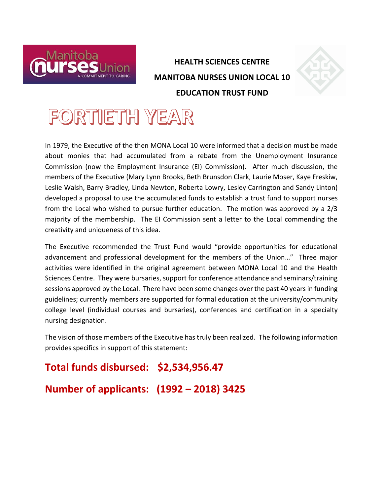

## **HEALTH SCIENCES CENTRE MANITOBA NURSES UNION LOCAL 10 EDUCATION TRUST FUND**



In 1979, the Executive of the then MONA Local 10 were informed that a decision must be made about monies that had accumulated from a rebate from the Unemployment Insurance Commission (now the Employment Insurance (EI) Commission). After much discussion, the members of the Executive (Mary Lynn Brooks, Beth Brunsdon Clark, Laurie Moser, Kaye Freskiw, Leslie Walsh, Barry Bradley, Linda Newton, Roberta Lowry, Lesley Carrington and Sandy Linton) developed a proposal to use the accumulated funds to establish a trust fund to support nurses from the Local who wished to pursue further education. The motion was approved by a 2/3 majority of the membership. The EI Commission sent a letter to the Local commending the creativity and uniqueness of this idea.

The Executive recommended the Trust Fund would "provide opportunities for educational advancement and professional development for the members of the Union…" Three major activities were identified in the original agreement between MONA Local 10 and the Health Sciences Centre. They were bursaries, support for conference attendance and seminars/training sessions approved by the Local. There have been some changes over the past 40 years in funding guidelines; currently members are supported for formal education at the university/community college level (individual courses and bursaries), conferences and certification in a specialty nursing designation.

The vision of those members of the Executive has truly been realized. The following information provides specifics in support of this statement:

## **Total funds disbursed: \$2,534,956.47**

**Number of applicants: (1992 – 2018) 3425**